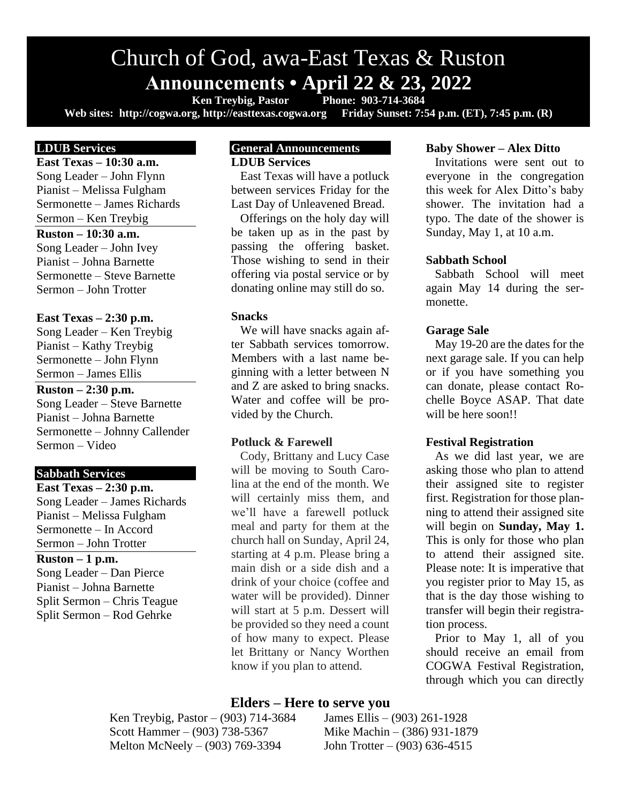# Church of God, awa-East Texas & Ruston **Announcements • April 22 & 23, 2022**<br>Ken Treybig, Pastor Phone: 903-714-3684

Ken Treybig, Pastor Phone: 903-714-3684<br>g, http://easttexas.cogwa.org Friday Sunset: 7:54 p.m. (ET), 7:45 p.m. (R) Web sites: http://cogwa.org, http://easttexas.cogwa.org

#### **LDUB Services**

**East Texas – 10:30 a.m.** Song Leader – John Flynn Pianist – Melissa Fulgham Sermonette – James Richards Sermon – Ken Treybig

#### **Ruston – 10:30 a.m.**

Song Leader – John Ivey Pianist – Johna Barnette Sermonette – Steve Barnette Sermon – John Trotter

# **East Texas – 2:30 p.m.**

Song Leader – Ken Treybig Pianist – Kathy Treybig Sermonette – John Flynn Sermon – James Ellis

## **Ruston – 2:30 p.m.**

Song Leader – Steve Barnette Pianist – Johna Barnette Sermonette – Johnny Callender Sermon – Video

# **Sabbath Services**

**East Texas – 2:30 p.m.** Song Leader – James Richards Pianist – Melissa Fulgham Sermonette – In Accord Sermon – John Trotter

# **Ruston – 1 p.m.**

Song Leader – Dan Pierce Pianist – Johna Barnette Split Sermon – Chris Teague Split Sermon – Rod Gehrke

# **General Announcements**

**LDUB Services**

East Texas will have a potluck between services Friday for the Last Day of Unleavened Bread.

Offerings on the holy day will be taken up as in the past by passing the offering basket. Those wishing to send in their offering via postal service or by donating online may still do so.

#### **Snacks**

We will have snacks again after Sabbath services tomorrow. Members with a last name beginning with a letter between N and Z are asked to bring snacks. Water and coffee will be provided by the Church.

## **Potluck & Farewell**

Cody, Brittany and Lucy Case will be moving to South Carolina at the end of the month. We will certainly miss them, and we'll have a farewell potluck meal and party for them at the church hall on Sunday, April 24, starting at 4 p.m. Please bring a main dish or a side dish and a drink of your choice (coffee and water will be provided). Dinner will start at 5 p.m. Dessert will be provided so they need a count of how many to expect. Please let Brittany or Nancy Worthen know if you plan to attend.

## **Elders – Here to serve you**

Scott Hammer – (903) 738-5367 Mike Machin – (386) 931-1879 Melton McNeely – (903) 769-3394 John Trotter – (903) 636-4515

Ken Treybig, Pastor – (903) 714-3684 James Ellis – (903) 261-1928

## **Baby Shower – Alex Ditto**

Invitations were sent out to everyone in the congregation this week for Alex Ditto's baby shower. The invitation had a typo. The date of the shower is Sunday, May 1, at 10 a.m.

## **Sabbath School**

Sabbath School will meet again May 14 during the sermonette.

## **Garage Sale**

May 19-20 are the dates for the next garage sale. If you can help or if you have something you can donate, please contact Rochelle Boyce ASAP. That date will be here soon!!

## **Festival Registration**

As we did last year, we are asking those who plan to attend their assigned site to register first. Registration for those planning to attend their assigned site will begin on **Sunday, May 1.** This is only for those who plan to attend their assigned site. Please note: It is imperative that you register prior to May 15, as that is the day those wishing to transfer will begin their registration process.

Prior to May 1, all of you should receive an email from COGWA Festival Registration, through which you can directly